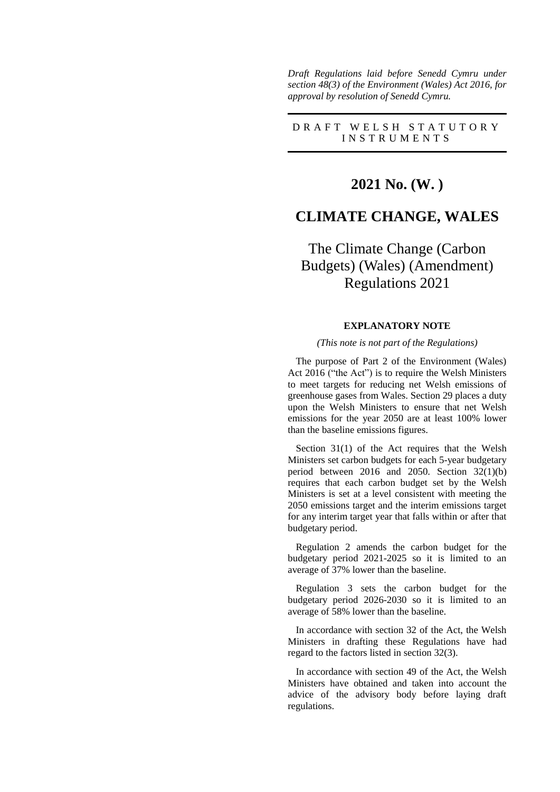*Draft Regulations laid before Senedd Cymru under section 48(3) of the Environment (Wales) Act 2016, for approval by resolution of Senedd Cymru.*

D R A F T W E L S H S T A T U T O R Y I N S T R U M E N T S

## **2021 No. (W. )**

## **CLIMATE CHANGE, WALES**

# The Climate Change (Carbon Budgets) (Wales) (Amendment) Regulations 2021

### **EXPLANATORY NOTE**

#### *(This note is not part of the Regulations)*

The purpose of Part 2 of the Environment (Wales) Act 2016 ("the Act") is to require the Welsh Ministers to meet targets for reducing net Welsh emissions of greenhouse gases from Wales. Section 29 places a duty upon the Welsh Ministers to ensure that net Welsh emissions for the year 2050 are at least 100% lower than the baseline emissions figures.

Section 31(1) of the Act requires that the Welsh Ministers set carbon budgets for each 5-year budgetary period between 2016 and 2050. Section 32(1)(b) requires that each carbon budget set by the Welsh Ministers is set at a level consistent with meeting the 2050 emissions target and the interim emissions target for any interim target year that falls within or after that budgetary period.

Regulation 2 amends the carbon budget for the budgetary period 2021-2025 so it is limited to an average of 37% lower than the baseline.

Regulation 3 sets the carbon budget for the budgetary period 2026-2030 so it is limited to an average of 58% lower than the baseline.

In accordance with section 32 of the Act, the Welsh Ministers in drafting these Regulations have had regard to the factors listed in section 32(3).

In accordance with section 49 of the Act, the Welsh Ministers have obtained and taken into account the advice of the advisory body before laying draft regulations.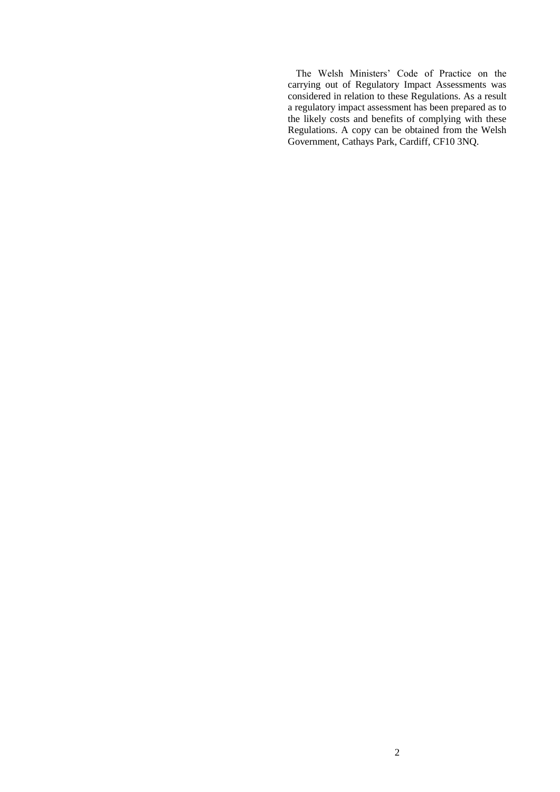The Welsh Ministers' Code of Practice on the carrying out of Regulatory Impact Assessments was considered in relation to these Regulations. As a result a regulatory impact assessment has been prepared as to the likely costs and benefits of complying with these Regulations. A copy can be obtained from the Welsh Government, Cathays Park, Cardiff, CF10 3NQ.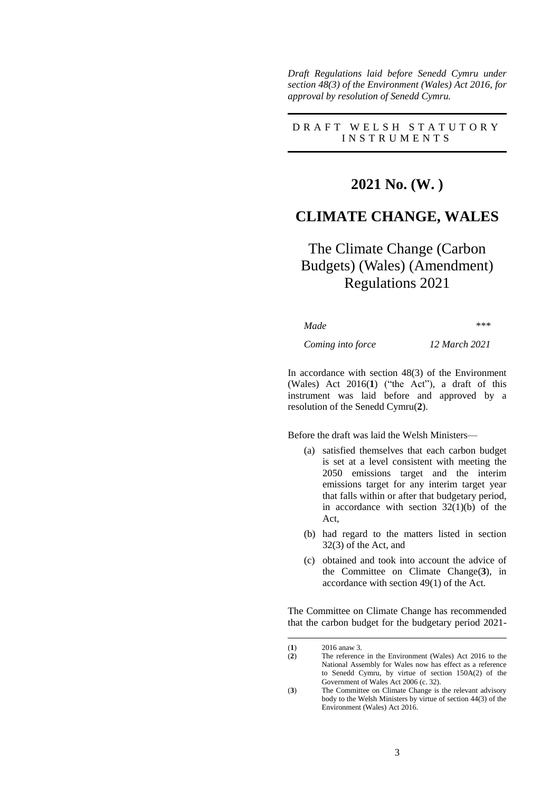*Draft Regulations laid before Senedd Cymru under section 48(3) of the Environment (Wales) Act 2016, for approval by resolution of Senedd Cymru.*

D R A F T W E L S H S T A T U T O R Y I N S T R U M E N T S

## **2021 No. (W. )**

### **CLIMATE CHANGE, WALES**

# The Climate Change (Carbon Budgets) (Wales) (Amendment) Regulations 2021

*Made \*\*\**

*Coming into force 12 March 2021*

In accordance with section 48(3) of the Environment (Wales) Act 2016(**1**) ("the Act"), a draft of this instrument was laid before and approved by a resolution of the Senedd Cymru(**2**).

Before the draft was laid the Welsh Ministers—

- (a) satisfied themselves that each carbon budget is set at a level consistent with meeting the 2050 emissions target and the interim emissions target for any interim target year that falls within or after that budgetary period, in accordance with section  $32(1)(b)$  of the Act,
- (b) had regard to the matters listed in section 32(3) of the Act, and
- (c) obtained and took into account the advice of the Committee on Climate Change(**3**), in accordance with section 49(1) of the Act.

The Committee on Climate Change has recommended that the carbon budget for the budgetary period 2021-

<u>.</u>

<sup>(</sup>**1**) 2016 anaw 3.

<sup>(</sup>**2**) The reference in the Environment (Wales) Act 2016 to the National Assembly for Wales now has effect as a reference to Senedd Cymru, by virtue of section 150A(2) of the Government of Wales Act 2006 (c. 32).

<sup>(</sup>**3**) The Committee on Climate Change is the relevant advisory body to the Welsh Ministers by virtue of section 44(3) of the Environment (Wales) Act 2016.